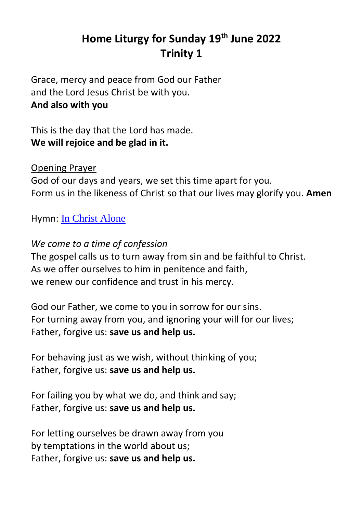# **Home Liturgy for Sunday 19th June 2022 Trinity 1**

Grace, mercy and peace from God our Father and the Lord Jesus Christ be with you. **And also with you**

This is the day that the Lord has made. **We will rejoice and be glad in it.**

# Opening Prayer

God of our days and years, we set this time apart for you. Form us in the likeness of Christ so that our lives may glorify you. **Amen**

Hymn: [In Christ Alone](https://www.youtube.com/watch?v=ljlsOQ269I4)

*We come to a time of confession* The gospel calls us to turn away from sin and be faithful to Christ. As we offer ourselves to him in penitence and faith, we renew our confidence and trust in his mercy.

God our Father, we come to you in sorrow for our sins. For turning away from you, and ignoring your will for our lives; Father, forgive us: **save us and help us.**

For behaving just as we wish, without thinking of you; Father, forgive us: **save us and help us.**

For failing you by what we do, and think and say; Father, forgive us: **save us and help us.**

For letting ourselves be drawn away from you by temptations in the world about us; Father, forgive us: **save us and help us.**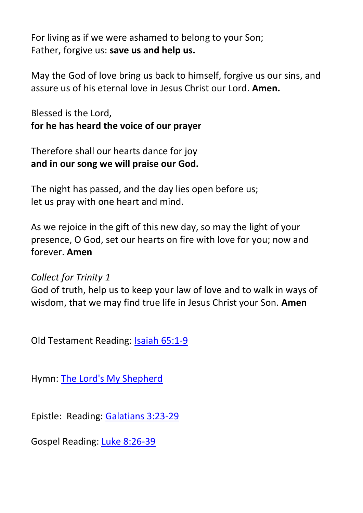For living as if we were ashamed to belong to your Son; Father, forgive us: **save us and help us.**

May the God of love bring us back to himself, forgive us our sins, and assure us of his eternal love in Jesus Christ our Lord. **Amen.**

Blessed is the Lord, **for he has heard the voice of our prayer**

Therefore shall our hearts dance for joy **and in our song we will praise our God.**

The night has passed, and the day lies open before us; let us pray with one heart and mind.

As we rejoice in the gift of this new day, so may the light of your presence, O God, set our hearts on fire with love for you; now and forever. **Amen**

### *Collect for Trinity 1*

God of truth, help us to keep your law of love and to walk in ways of wisdom, that we may find true life in Jesus Christ your Son. **Amen**

Old Testament Reading: [Isaiah 65:1-9](https://www.biblegateway.com/passage/?search=Isaiah+65%3A1-9&version=NIV)

Hymn: [The Lord's My Shepherd](https://www.youtube.com/watch?v=-eIQQayhpak&list=RD-eIQQayhpak&start_radio=1)

Epistle: Reading: [Galatians 3:23-29](https://www.biblegateway.com/passage/?search=Galatians+3%3A23-29&version=NIV)

Gospel Reading: [Luke 8:26-39](https://www.biblegateway.com/passage/?search=Luke+8%3A26-39&version=NIV)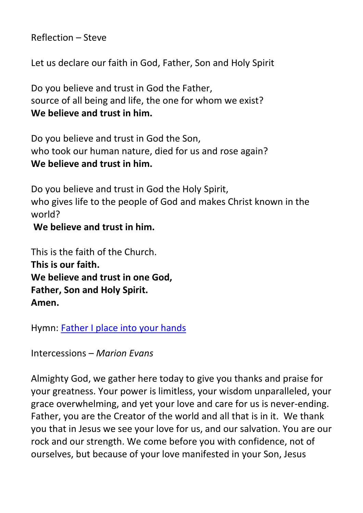Reflection – Steve

Let us declare our faith in God, Father, Son and Holy Spirit

Do you believe and trust in God the Father, source of all being and life, the one for whom we exist? **We believe and trust in him.**

Do you believe and trust in God the Son, who took our human nature, died for us and rose again? **We believe and trust in him.**

Do you believe and trust in God the Holy Spirit, who gives life to the people of God and makes Christ known in the world?

#### **We believe and trust in him.**

This is the faith of the Church. **This is our faith. We believe and trust in one God, Father, Son and Holy Spirit. Amen.**

Hymn: [Father I place into your hands](https://www.youtube.com/watch?v=PwuM4Div-y4)

Intercessions – *Marion Evans*

Almighty God, we gather here today to give you thanks and praise for your greatness. Your power is limitless, your wisdom unparalleled, your grace overwhelming, and yet your love and care for us is never-ending. Father, you are the Creator of the world and all that is in it. We thank you that in Jesus we see your love for us, and our salvation. You are our rock and our strength. We come before you with confidence, not of ourselves, but because of your love manifested in your Son, Jesus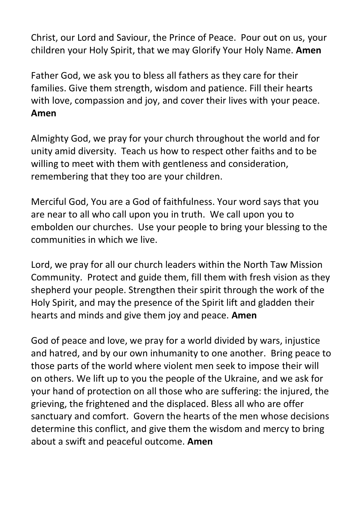Christ, our Lord and Saviour, the Prince of Peace. Pour out on us, your children your Holy Spirit, that we may Glorify Your Holy Name. **Amen**

Father God, we ask you to bless all fathers as they care for their families. Give them strength, wisdom and patience. Fill their hearts with love, compassion and joy, and cover their lives with your peace. **Amen**

Almighty God, we pray for your church throughout the world and for unity amid diversity. Teach us how to respect other faiths and to be willing to meet with them with gentleness and consideration, remembering that they too are your children.

Merciful God, You are a God of faithfulness. Your word says that you are near to all who call upon you in truth. We call upon you to embolden our churches. Use your people to bring your blessing to the communities in which we live.

Lord, we pray for all our church leaders within the North Taw Mission Community. Protect and guide them, fill them with fresh vision as they shepherd your people. Strengthen their spirit through the work of the Holy Spirit, and may the presence of the Spirit lift and gladden their hearts and minds and give them joy and peace. **Amen**

God of peace and love, we pray for a world divided by wars, injustice and hatred, and by our own inhumanity to one another. Bring peace to those parts of the world where violent men seek to impose their will on others. We lift up to you the people of the Ukraine, and we ask for your hand of protection on all those who are suffering: the injured, the grieving, the frightened and the displaced. Bless all who are offer sanctuary and comfort. Govern the hearts of the men whose decisions determine this conflict, and give them the wisdom and mercy to bring about a swift and peaceful outcome. **Amen**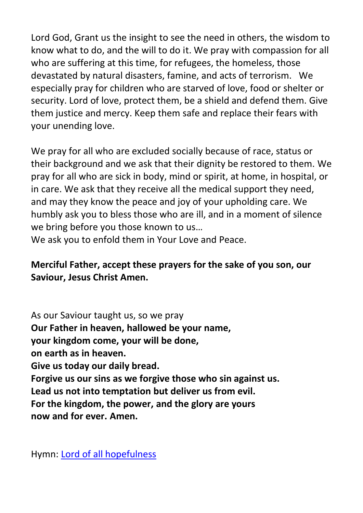Lord God, Grant us the insight to see the need in others, the wisdom to know what to do, and the will to do it. We pray with compassion for all who are suffering at this time, for refugees, the homeless, those devastated by natural disasters, famine, and acts of terrorism. We especially pray for children who are starved of love, food or shelter or security. Lord of love, protect them, be a shield and defend them. Give them justice and mercy. Keep them safe and replace their fears with your unending love.

We pray for all who are excluded socially because of race, status or their background and we ask that their dignity be restored to them. We pray for all who are sick in body, mind or spirit, at home, in hospital, or in care. We ask that they receive all the medical support they need, and may they know the peace and joy of your upholding care. We humbly ask you to bless those who are ill, and in a moment of silence we bring before you those known to us…

We ask you to enfold them in Your Love and Peace.

# **Merciful Father, accept these prayers for the sake of you son, our Saviour, Jesus Christ Amen.**

As our Saviour taught us, so we pray **Our Father in heaven, hallowed be your name, your kingdom come, your will be done, on earth as in heaven. Give us today our daily bread. Forgive us our sins as we forgive those who sin against us. Lead us not into temptation but deliver us from evil. For the kingdom, the power, and the glory are yours now and for ever. Amen.**

Hymn: [Lord of all hopefulness](https://www.youtube.com/watch?v=b8mti7VL3gg)